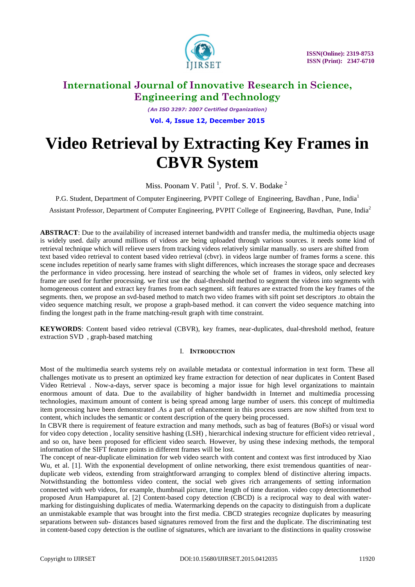

*(An ISO 3297: 2007 Certified Organization)* **Vol. 4, Issue 12, December 2015**

# **Video Retrieval by Extracting Key Frames in CBVR System**

Miss. Poonam V. Patil<sup>1</sup>, Prof. S. V. Bodake<sup>2</sup>

P.G. Student, Department of Computer Engineering, PVPIT College of Engineering, Bavdhan, Pune, India<sup>1</sup>

Assistant Professor, Department of Computer Engineering, PVPIT College of Engineering, Bavdhan, Pune, India<sup>2</sup>

**ABSTRACT**: Due to the availability of increased internet bandwidth and transfer media, the multimedia objects usage is widely used. daily around millions of videos are being uploaded through various sources. it needs some kind of retrieval technique which will relieve users from tracking videos relatively similar manually. so users are shifted from text based video retrieval to content based video retrieval (cbvr). in videos large number of frames forms a scene. this scene includes repetition of nearly same frames with slight differences, which increases the storage space and decreases the performance in video processing. here instead of searching the whole set of frames in videos, only selected key frame are used for further processing. we first use the dual-threshold method to segment the videos into segments with homogeneous content and extract key frames from each segment. sift features are extracted from the key frames of the segments. then, we propose an svd-based method to match two video frames with sift point set descriptors .to obtain the video sequence matching result, we propose a graph-based method. it can convert the video sequence matching into finding the longest path in the frame matching-result graph with time constraint.

**KEYWORDS**: Content based video retrieval (CBVR), key frames, near-duplicates, dual-threshold method, feature extraction SVD , graph-based matching

### I. **INTRODUCTION**

Most of the multimedia search systems rely on available metadata or contextual information in text form. These all challenges motivate us to present an optimized key frame extraction for detection of near duplicates in Content Based Video Retrieval . Now-a-days, server space is becoming a major issue for high level organizations to maintain enormous amount of data. Due to the availability of higher bandwidth in Internet and multimedia processing technologies, maximum amount of content is being spread among large number of users. this concept of multimedia item processing have been demonstrated .As a part of enhancement in this process users are now shifted from text to content, which includes the semantic or content description of the query being processed.

In CBVR there is requirement of feature extraction and many methods, such as bag of features (BoFs) or visual word for video copy detection , locality sensitive hashing (LSH) , hierarchical indexing structure for efficient video retrieval , and so on, have been proposed for efficient video search. However, by using these indexing methods, the temporal information of the SIFT feature points in different frames will be lost.

The concept of near-duplicate elimination for web video search with content and context was first introduced by Xiao Wu, et al. [1]. With the exponential development of online networking, there exist tremendous quantities of nearduplicate web videos, extending from straightforward arranging to complex blend of distinctive altering impacts. Notwithstanding the bottomless video content, the social web gives rich arrangements of setting information connected with web videos, for example, thumbnail picture, time length of time duration. video copy detectionmethod proposed Arun Hampapuret al. [2] Content-based copy detection (CBCD) is a reciprocal way to deal with watermarking for distinguishing duplicates of media. Watermarking depends on the capacity to distinguish from a duplicate an unmistakable example that was brought into the first media. CBCD strategies recognize duplicates by measuring separations between sub- distances based signatures removed from the first and the duplicate. The discriminating test in content-based copy detection is the outline of signatures, which are invariant to the distinctions in quality crosswise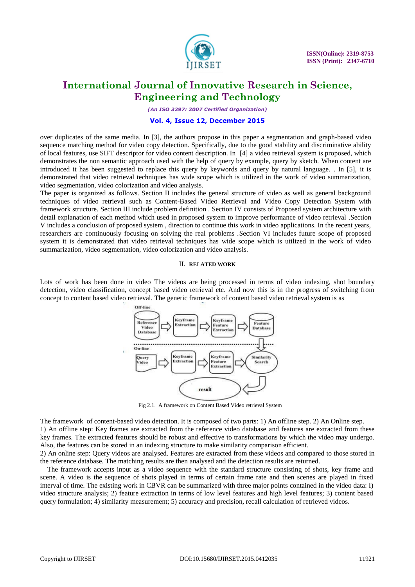

*(An ISO 3297: 2007 Certified Organization)*

#### **Vol. 4, Issue 12, December 2015**

over duplicates of the same media. In [3], the authors propose in this paper a segmentation and graph-based video sequence matching method for video copy detection. Specifically, due to the good stability and discriminative ability of local features, use SIFT descriptor for video content description. In [4] a video retrieval system is proposed, which demonstrates the non semantic approach used with the help of query by example, query by sketch. When content are introduced it has been suggested to replace this query by keywords and query by natural language. . In [5], it is demonstrated that video retrieval techniques has wide scope which is utilized in the work of video summarization, video segmentation, video colorization and video analysis.

The paper is organized as follows. Section II includes the general structure of video as well as general background techniques of video retrieval such as Content-Based Video Retrieval and Video Copy Detection System with framework structure. Section III include problem definition . Section IV consists of Proposed system architecture with detail explanation of each method which used in proposed system to improve performance of video retrieval .Section V includes a conclusion of proposed system , direction to continue this work in video applications. In the recent years, researchers are continuously focusing on solving the real problems .Section VI includes future scope of proposed system it is demonstrated that video retrieval techniques has wide scope which is utilized in the work of video summarization, video segmentation, video colorization and video analysis.

#### II. **RELATED WORK**

Lots of work has been done in video The videos are being processed in terms of video indexing, shot boundary detection, video classification, concept based video retrieval etc. And now this is in the progress of switching from concept to content based video retrieval. The generic framework of content based video retrieval system is as



Fig 2.1. A framework on Content Based Video retrieval System

The framework of content-based video detection. It is composed of two parts: 1) An offline step. 2) An Online step. 1) An offline step: Key frames are extracted from the reference video database and features are extracted from these key frames. The extracted features should be robust and effective to transformations by which the video may undergo. Also, the features can be stored in an indexing structure to make similarity comparison efficient.

2) An online step: Query videos are analysed. Features are extracted from these videos and compared to those stored in the reference database. The matching results are then analysed and the detection results are returned.

The framework accepts input as a video sequence with the standard structure consisting of shots, key frame and scene. A video is the sequence of shots played in terms of certain frame rate and then scenes are played in fixed interval of time. The existing work in CBVR can be summarized with three major points contained in the video data: I) video structure analysis; 2) feature extraction in terms of low level features and high level features; 3) content based query formulation; 4) similarity measurement; 5) accuracy and precision, recall calculation of retrieved videos.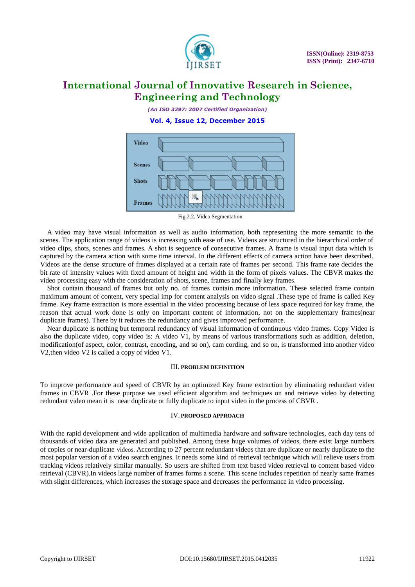

*(An ISO 3297: 2007 Certified Organization)*

**Vol. 4, Issue 12, December 2015**



Fig 2.2. Video Segmentation

A video may have visual information as well as audio information, both representing the more semantic to the scenes. The application range of videos is increasing with ease of use. Videos are structured in the hierarchical order of video clips, shots, scenes and frames. A shot is sequence of consecutive frames. A frame is visual input data which is captured by the camera action with some time interval. In the different effects of camera action have been described. Videos are the dense structure of frames displayed at a certain rate of frames per second. This frame rate decides the bit rate of intensity values with fixed amount of height and width in the form of pixels values. The CBVR makes the video processing easy with the consideration of shots, scene, frames and finally key frames.

 Shot contain thousand of frames but only no. of frames contain more information. These selected frame contain maximum amount of content, very special imp for content analysis on video signal .These type of frame is called Key frame. Key frame extraction is more essential in the video processing because of less space required for key frame, the reason that actual work done is only on important content of information, not on the supplementary frames(near duplicate frames). There by it reduces the redundancy and gives improved performance.

 Near duplicate is nothing but temporal redundancy of visual information of continuous video frames. Copy Video is also the duplicate video, copy video is: A video V1, by means of various transformations such as addition, deletion, modification(of aspect, color, contrast, encoding, and so on), cam cording, and so on, is transformed into another video V2,then video V2 is called a copy of video V1.

#### III. **PROBLEM DEFINITION**

To improve performance and speed of CBVR by an optimized Key frame extraction by eliminating redundant video frames in CBVR .For these purpose we used efficient algorithm and techniques on and retrieve video by detecting redundant video mean it is near duplicate or fully duplicate to input video in the process of CBVR .

### IV. **PROPOSED APPROACH**

With the rapid development and wide application of multimedia hardware and software technologies, each day tens of thousands of video data are generated and published. Among these huge volumes of videos, there exist large numbers of copies or near-duplicate videos. According to 27 percent redundant videos that are duplicate or nearly duplicate to the most popular version of a video search engines. It needs some kind of retrieval technique which will relieve users from tracking videos relatively similar manually. So users are shifted from text based video retrieval to content based video retrieval (CBVR).In videos large number of frames forms a scene. This scene includes repetition of nearly same frames with slight differences, which increases the storage space and decreases the performance in video processing.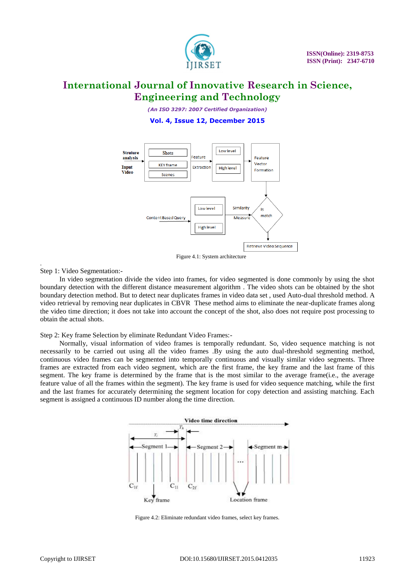

*(An ISO 3297: 2007 Certified Organization)*

**Vol. 4, Issue 12, December 2015**



Figure 4.1: System architecture

Step 1: Video Segmentation:-

.

 In video segmentation divide the video into frames, for video segmented is done commonly by using the shot boundary detection with the different distance measurement algorithm . The video shots can be obtained by the shot boundary detection method. But to detect near duplicates frames in video data set , used Auto-dual threshold method. A video retrieval by removing near duplicates in CBVR These method aims to eliminate the near-duplicate frames along the video time direction; it does not take into account the concept of the shot, also does not require post processing to obtain the actual shots.

Step 2: Key frame Selection by eliminate Redundant Video Frames:-

 Normally, visual information of video frames is temporally redundant. So, video sequence matching is not necessarily to be carried out using all the video frames .By using the auto dual-threshold segmenting method, continuous video frames can be segmented into temporally continuous and visually similar video segments. Three frames are extracted from each video segment, which are the first frame, the key frame and the last frame of this segment. The key frame is determined by the frame that is the most similar to the average frame(i.e., the average feature value of all the frames within the segment). The key frame is used for video sequence matching, while the first and the last frames for accurately determining the segment location for copy detection and assisting matching. Each segment is assigned a continuous ID number along the time direction.



Figure 4.2: Eliminate redundant video frames, select key frames.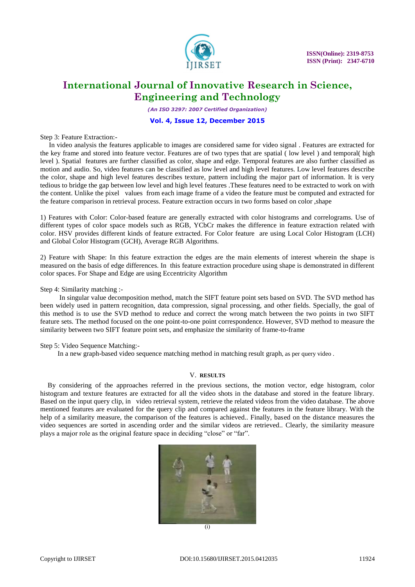

*(An ISO 3297: 2007 Certified Organization)*

### **Vol. 4, Issue 12, December 2015**

Step 3: Feature Extraction:-

 In video analysis the features applicable to images are considered same for video signal . Features are extracted for the key frame and stored into feature vector. Features are of two types that are spatial ( low level ) and temporal( high level ). Spatial features are further classified as color, shape and edge. Temporal features are also further classified as motion and audio. So, video features can be classified as low level and high level features. Low level features describe the color, shape and high level features describes texture, pattern including the major part of information. It is very tedious to bridge the gap between low level and high level features .These features need to be extracted to work on with the content. Unlike the pixel values from each image frame of a video the feature must be computed and extracted for the feature comparison in retrieval process. Feature extraction occurs in two forms based on color ,shape

1) Features with Color: Color-based feature are generally extracted with color histograms and correlograms. Use of different types of color space models such as RGB, YCbCr makes the difference in feature extraction related with color. HSV provides different kinds of feature extracted. For Color feature are using Local Color Histogram (LCH) and Global Color Histogram (GCH), Average RGB Algorithms.

2) Feature with Shape: In this feature extraction the edges are the main elements of interest wherein the shape is measured on the basis of edge differences. In this feature extraction procedure using shape is demonstrated in different color spaces. For Shape and Edge are using Eccentricity Algorithm

Step 4: Similarity matching :-

 In singular value decomposition method, match the SIFT feature point sets based on SVD. The SVD method has been widely used in pattern recognition, data compression, signal processing, and other fields. Specially, the goal of this method is to use the SVD method to reduce and correct the wrong match between the two points in two SIFT feature sets. The method focused on the one point-to-one point correspondence. However, SVD method to measure the similarity between two SIFT feature point sets, and emphasize the similarity of frame-to-frame

#### Step 5: Video Sequence Matching:-

In a new graph-based video sequence matching method in matching result graph, as per query video .

#### V. **RESULTS**

By considering of the approaches referred in the previous sections, the motion vector, edge histogram, color histogram and texture features are extracted for all the video shots in the database and stored in the feature library. Based on the input query clip, in video retrieval system, retrieve the related videos from the video database. The above mentioned features are evaluated for the query clip and compared against the features in the feature library. With the help of a similarity measure, the comparison of the features is achieved.. Finally, based on the distance measures the video sequences are sorted in ascending order and the similar videos are retrieved.. Clearly, the similarity measure plays a major role as the original feature space in deciding "close" or "far".

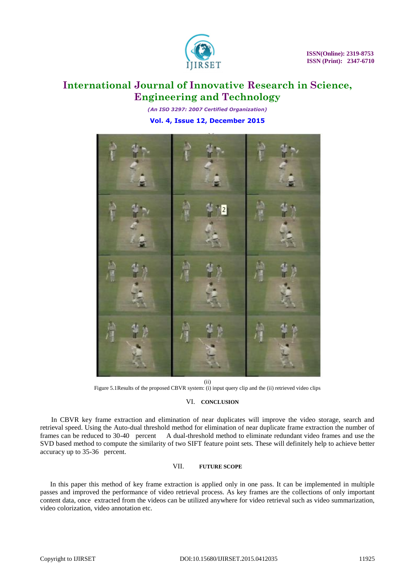

*(An ISO 3297: 2007 Certified Organization)* **Vol. 4, Issue 12, December 2015**



(ii)

Figure 5.1Results of the proposed CBVR system: (i) input query clip and the (ii) retrieved video clips

### VI. **CONCLUSION**

 In CBVR key frame extraction and elimination of near duplicates will improve the video storage, search and retrieval speed. Using the Auto-dual threshold method for elimination of near duplicate frame extraction the number of frames can be reduced to 30-40 percent A dual-threshold method to eliminate redundant video frames and use the SVD based method to compute the similarity of two SIFT feature point sets. These will definitely help to achieve better accuracy up to 35-36 percent.

### VII. **FUTURE SCOPE**

In this paper this method of key frame extraction is applied only in one pass. It can be implemented in multiple passes and improved the performance of video retrieval process. As key frames are the collections of only important content data, once extracted from the videos can be utilized anywhere for video retrieval such as video summarization, video colorization, video annotation etc.